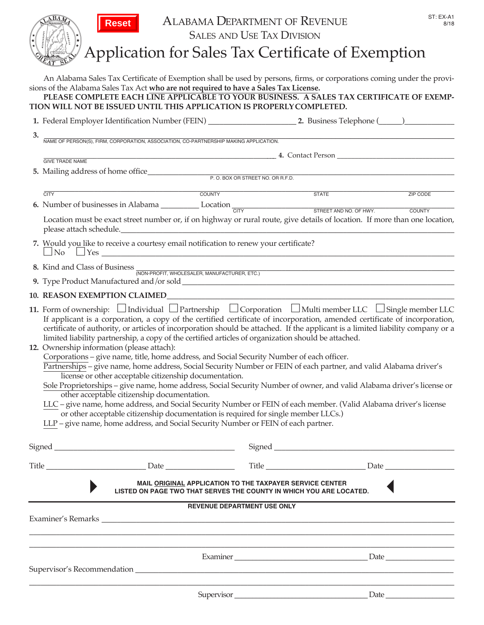|    | ST: EX-A1<br><b>ALABAMA DEPARTMENT OF REVENUE</b><br>8/18<br><b>SALES AND USE TAX DIVISION</b><br>Application for Sales Tax Certificate of Exemption                                                                                                                                                                                                                                                                                                                                                                                                                                                                                                                                                                                                                                                                                                                                                                                                                                                                                                                                                                                                                                                                                                                                                          |
|----|---------------------------------------------------------------------------------------------------------------------------------------------------------------------------------------------------------------------------------------------------------------------------------------------------------------------------------------------------------------------------------------------------------------------------------------------------------------------------------------------------------------------------------------------------------------------------------------------------------------------------------------------------------------------------------------------------------------------------------------------------------------------------------------------------------------------------------------------------------------------------------------------------------------------------------------------------------------------------------------------------------------------------------------------------------------------------------------------------------------------------------------------------------------------------------------------------------------------------------------------------------------------------------------------------------------|
|    | An Alabama Sales Tax Certificate of Exemption shall be used by persons, firms, or corporations coming under the provi-<br>sions of the Alabama Sales Tax Act who are not required to have a Sales Tax License.<br>PLEASE COMPLETE EACH LINE APPLICABLE TO YOUR BUSINESS. A SALES TAX CERTIFICATE OF EXEMP-<br>TION WILL NOT BE ISSUED UNTIL THIS APPLICATION IS PROPERLY COMPLETED.                                                                                                                                                                                                                                                                                                                                                                                                                                                                                                                                                                                                                                                                                                                                                                                                                                                                                                                           |
|    |                                                                                                                                                                                                                                                                                                                                                                                                                                                                                                                                                                                                                                                                                                                                                                                                                                                                                                                                                                                                                                                                                                                                                                                                                                                                                                               |
| 3. | NAME OF PERSON(S), FIRM, CORPORATION, ASSOCIATION, CO-PARTNERSHIP MAKING APPLICATION.                                                                                                                                                                                                                                                                                                                                                                                                                                                                                                                                                                                                                                                                                                                                                                                                                                                                                                                                                                                                                                                                                                                                                                                                                         |
|    | <b>GIVE TRADE NAME</b>                                                                                                                                                                                                                                                                                                                                                                                                                                                                                                                                                                                                                                                                                                                                                                                                                                                                                                                                                                                                                                                                                                                                                                                                                                                                                        |
|    | 5. Mailing address of home office P.O. BOX OR STREET NO. OR R.F.D.                                                                                                                                                                                                                                                                                                                                                                                                                                                                                                                                                                                                                                                                                                                                                                                                                                                                                                                                                                                                                                                                                                                                                                                                                                            |
|    | <b>STATE</b><br>COUNTY<br><b>CITY</b><br><b>ZIP CODE</b>                                                                                                                                                                                                                                                                                                                                                                                                                                                                                                                                                                                                                                                                                                                                                                                                                                                                                                                                                                                                                                                                                                                                                                                                                                                      |
|    | 6. Number of businesses in Alabama $\frac{1}{\text{CITY}}$ Location $\frac{1}{\text{CITY}}$ STREET AND NO. OF HWY.                                                                                                                                                                                                                                                                                                                                                                                                                                                                                                                                                                                                                                                                                                                                                                                                                                                                                                                                                                                                                                                                                                                                                                                            |
|    | Location must be exact street number or, if on highway or rural route, give details of location. If more than one location,<br>please attach schedule.                                                                                                                                                                                                                                                                                                                                                                                                                                                                                                                                                                                                                                                                                                                                                                                                                                                                                                                                                                                                                                                                                                                                                        |
|    | 7. Would you like to receive a courtesy email notification to renew your certificate?<br>$\Box$ No $\Box$ Yes $\Box$                                                                                                                                                                                                                                                                                                                                                                                                                                                                                                                                                                                                                                                                                                                                                                                                                                                                                                                                                                                                                                                                                                                                                                                          |
|    | 8. Kind and Class of Business MON-PROFIT, WHOLESALER, MANUFACTURER, ETC.                                                                                                                                                                                                                                                                                                                                                                                                                                                                                                                                                                                                                                                                                                                                                                                                                                                                                                                                                                                                                                                                                                                                                                                                                                      |
|    |                                                                                                                                                                                                                                                                                                                                                                                                                                                                                                                                                                                                                                                                                                                                                                                                                                                                                                                                                                                                                                                                                                                                                                                                                                                                                                               |
|    |                                                                                                                                                                                                                                                                                                                                                                                                                                                                                                                                                                                                                                                                                                                                                                                                                                                                                                                                                                                                                                                                                                                                                                                                                                                                                                               |
|    | 11. Form of ownership: $\Box$ Individual $\Box$ Partnership $\Box$ Corporation $\Box$ Multi member LLC $\Box$ Single member LLC<br>If applicant is a corporation, a copy of the certified certificate of incorporation, amended certificate of incorporation,<br>certificate of authority, or articles of incorporation should be attached. If the applicant is a limited liability company or a<br>limited liability partnership, a copy of the certified articles of organization should be attached.<br>12. Ownership information (please attach):<br>Corporations - give name, title, home address, and Social Security Number of each officer.<br>Partnerships – give name, home address, Social Security Number or FEIN of each partner, and valid Alabama driver's<br>license or other acceptable citizenship documentation.<br>Sole Proprietorships - give name, home address, Social Security Number of owner, and valid Alabama driver's license or<br>other acceptable citizenship documentation.<br>LLC - give name, home address, and Social Security Number or FEIN of each member. (Valid Alabama driver's license<br>or other acceptable citizenship documentation is required for single member LLCs.)<br>LLP - give name, home address, and Social Security Number or FEIN of each partner. |
|    | Signed                                                                                                                                                                                                                                                                                                                                                                                                                                                                                                                                                                                                                                                                                                                                                                                                                                                                                                                                                                                                                                                                                                                                                                                                                                                                                                        |
|    |                                                                                                                                                                                                                                                                                                                                                                                                                                                                                                                                                                                                                                                                                                                                                                                                                                                                                                                                                                                                                                                                                                                                                                                                                                                                                                               |
|    | MAIL ORIGINAL APPLICATION TO THE TAXPAYER SERVICE CENTER<br>LISTED ON PAGE TWO THAT SERVES THE COUNTY IN WHICH YOU ARE LOCATED.                                                                                                                                                                                                                                                                                                                                                                                                                                                                                                                                                                                                                                                                                                                                                                                                                                                                                                                                                                                                                                                                                                                                                                               |
|    | <b>REVENUE DEPARTMENT USE ONLY</b>                                                                                                                                                                                                                                                                                                                                                                                                                                                                                                                                                                                                                                                                                                                                                                                                                                                                                                                                                                                                                                                                                                                                                                                                                                                                            |
|    |                                                                                                                                                                                                                                                                                                                                                                                                                                                                                                                                                                                                                                                                                                                                                                                                                                                                                                                                                                                                                                                                                                                                                                                                                                                                                                               |
|    |                                                                                                                                                                                                                                                                                                                                                                                                                                                                                                                                                                                                                                                                                                                                                                                                                                                                                                                                                                                                                                                                                                                                                                                                                                                                                                               |
|    |                                                                                                                                                                                                                                                                                                                                                                                                                                                                                                                                                                                                                                                                                                                                                                                                                                                                                                                                                                                                                                                                                                                                                                                                                                                                                                               |